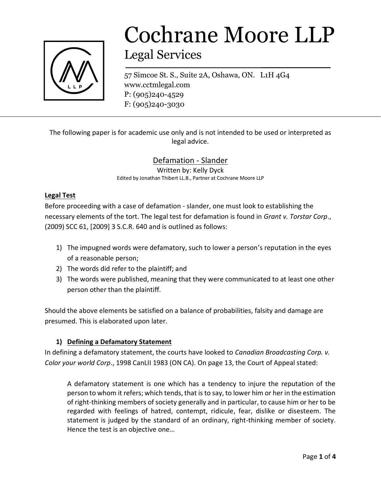

# Cochrane Moore LLP

## Legal Services

57 Simcoe St. S., Suite 2A, Oshawa, ON. L1H 4G4 www.cctmlegal.com P: (905)240-4529 F: (905)240-3030

The following paper is for academic use only and is not intended to be used or interpreted as legal advice.

### Defamation - Slander

Written by: Kelly Dyck Edited by Jonathan Thibert LL.B., Partner at Cochrane Moore LLP

#### **Legal Test**

Before proceeding with a case of defamation - slander, one must look to establishing the necessary elements of the tort. The legal test for defamation is found in *Grant v. Torstar Corp*., (2009) SCC 61, [2009] 3 S.C.R. 640 and is outlined as follows:

- 1) The impugned words were defamatory, such to lower a person's reputation in the eyes of a reasonable person;
- 2) The words did refer to the plaintiff; and
- 3) The words were published, meaning that they were communicated to at least one other person other than the plaintiff.

Should the above elements be satisfied on a balance of probabilities, falsity and damage are presumed. This is elaborated upon later.

#### **1) Defining a Defamatory Statement**

In defining a defamatory statement, the courts have looked to *Canadian Broadcasting Corp. v. Color your world Corp*., 1998 CanLII 1983 (ON CA). On page 13, the Court of Appeal stated:

A defamatory statement is one which has a tendency to injure the reputation of the person to whom it refers; which tends, that is to say, to lower him or her in the estimation of right-thinking members of society generally and in particular, to cause him or her to be regarded with feelings of hatred, contempt, ridicule, fear, dislike or disesteem. The statement is judged by the standard of an ordinary, right-thinking member of society. Hence the test is an objective one…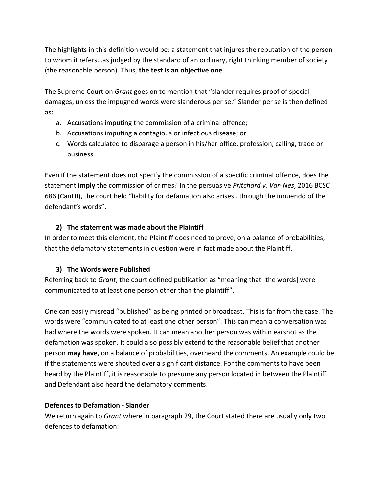The highlights in this definition would be: a statement that injures the reputation of the person to whom it refers…as judged by the standard of an ordinary, right thinking member of society (the reasonable person). Thus, **the test is an objective one**.

The Supreme Court on *Grant* goes on to mention that "slander requires proof of special damages, unless the impugned words were slanderous per se." Slander per se is then defined as:

- a. Accusations imputing the commission of a criminal offence;
- b. Accusations imputing a contagious or infectious disease; or
- c. Words calculated to disparage a person in his/her office, profession, calling, trade or business.

Even if the statement does not specify the commission of a specific criminal offence, does the statement **imply** the commission of crimes? In the persuasive *Pritchard v. Van Nes*, 2016 BCSC 686 (CanLII), the court held "liability for defamation also arises…through the innuendo of the defendant's words".

#### **2) The statement was made about the Plaintiff**

In order to meet this element, the Plaintiff does need to prove, on a balance of probabilities, that the defamatory statements in question were in fact made about the Plaintiff.

#### **3) The Words were Published**

Referring back to *Grant*, the court defined publication as "meaning that [the words] were communicated to at least one person other than the plaintiff".

One can easily misread "published" as being printed or broadcast. This is far from the case. The words were "communicated to at least one other person". This can mean a conversation was had where the words were spoken. It can mean another person was within earshot as the defamation was spoken. It could also possibly extend to the reasonable belief that another person **may have**, on a balance of probabilities, overheard the comments. An example could be if the statements were shouted over a significant distance. For the comments to have been heard by the Plaintiff, it is reasonable to presume any person located in between the Plaintiff and Defendant also heard the defamatory comments.

#### **Defences to Defamation - Slander**

We return again to *Grant* where in paragraph 29, the Court stated there are usually only two defences to defamation: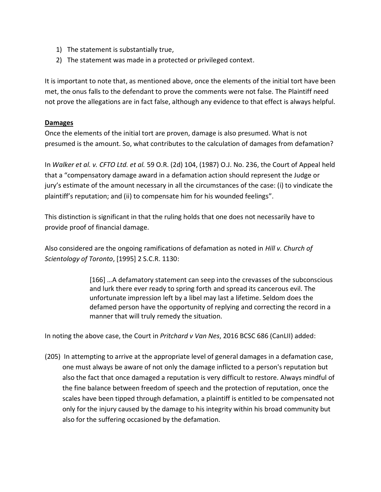- 1) The statement is substantially true,
- 2) The statement was made in a protected or privileged context.

It is important to note that, as mentioned above, once the elements of the initial tort have been met, the onus falls to the defendant to prove the comments were not false. The Plaintiff need not prove the allegations are in fact false, although any evidence to that effect is always helpful.

#### **Damages**

Once the elements of the initial tort are proven, damage is also presumed. What is not presumed is the amount. So, what contributes to the calculation of damages from defamation?

In *Walker et al. v. CFTO Ltd. et al.* 59 O.R. (2d) 104, (1987) O.J. No. 236, the Court of Appeal held that a "compensatory damage award in a defamation action should represent the Judge or jury's estimate of the amount necessary in all the circumstances of the case: (i) to vindicate the plaintiff's reputation; and (ii) to compensate him for his wounded feelings".

This distinction is significant in that the ruling holds that one does not necessarily have to provide proof of financial damage.

Also considered are the ongoing ramifications of defamation as noted in *Hill v. Church of Scientology of Toronto*, [1995] 2 S.C.R. 1130:

> [166] …A defamatory statement can seep into the crevasses of the subconscious and lurk there ever ready to spring forth and spread its cancerous evil. The unfortunate impression left by a libel may last a lifetime. Seldom does the defamed person have the opportunity of replying and correcting the record in a manner that will truly remedy the situation.

In noting the above case, the Court in *Pritchard v Van Nes*, 2016 BCSC 686 (CanLII) added:

(205) In attempting to arrive at the appropriate level of general damages in a defamation case, one must always be aware of not only the damage inflicted to a person's reputation but also the fact that once damaged a reputation is very difficult to restore. Always mindful of the fine balance between freedom of speech and the protection of reputation, once the scales have been tipped through defamation, a plaintiff is entitled to be compensated not only for the injury caused by the damage to his integrity within his broad community but also for the suffering occasioned by the defamation.